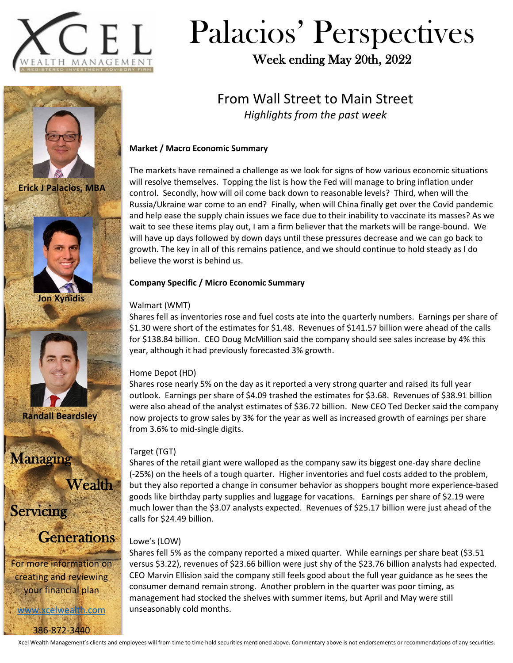

**Erick J Palacios, MBA**

**Jon Xynidis**

# Palacios' Perspectives

Week ending May 20th, 2022

### From Wall Street to Main Street *Highlights from the past week*

### **Market / Macro Economic Summary**

The markets have remained a challenge as we look for signs of how various economic situations will resolve themselves. Topping the list is how the Fed will manage to bring inflation under control. Secondly, how will oil come back down to reasonable levels? Third, when will the Russia/Ukraine war come to an end? Finally, when will China finally get over the Covid pandemic and help ease the supply chain issues we face due to their inability to vaccinate its masses? As we wait to see these items play out, I am a firm believer that the markets will be range-bound. We will have up days followed by down days until these pressures decrease and we can go back to growth. The key in all of this remains patience, and we should continue to hold steady as I do believe the worst is behind us.

### **Company Specific / Micro Economic Summary**

#### Walmart (WMT)

Shares fell as inventories rose and fuel costs ate into the quarterly numbers. Earnings per share of \$1.30 were short of the estimates for \$1.48. Revenues of \$141.57 billion were ahead of the calls for \$138.84 billion. CEO Doug McMillion said the company should see sales increase by 4% this year, although it had previously forecasted 3% growth.

### Home Depot (HD)

Shares rose nearly 5% on the day as it reported a very strong quarter and raised its full year outlook. Earnings per share of \$4.09 trashed the estimates for \$3.68. Revenues of \$38.91 billion were also ahead of the analyst estimates of \$36.72 billion. New CEO Ted Decker said the company now projects to grow sales by 3% for the year as well as increased growth of earnings per share from 3.6% to mid-single digits.

### Target (TGT)

Shares of the retail giant were walloped as the company saw its biggest one-day share decline (-25%) on the heels of a tough quarter. Higher inventories and fuel costs added to the problem, but they also reported a change in consumer behavior as shoppers bought more experience-based goods like birthday party supplies and luggage for vacations. Earnings per share of \$2.19 were much lower than the \$3.07 analysts expected. Revenues of \$25.17 billion were just ahead of the calls for \$24.49 billion.

### Lowe's (LOW)

Shares fell 5% as the company reported a mixed quarter. While earnings per share beat (\$3.51 versus \$3.22), revenues of \$23.66 billion were just shy of the \$23.76 billion analysts had expected. CEO Marvin Ellision said the company still feels good about the full year guidance as he sees the consumer demand remain strong. Another problem in the quarter was poor timing, as management had stocked the shelves with summer items, but April and May were still unseasonably cold months.



Managing

**Wealth** 

**Servicing** 

**Generations** 

For more information on creating and reviewing your financial plan

[www.xcelwealth.com](http://www.xcelwealth.com/) 386-872-3440